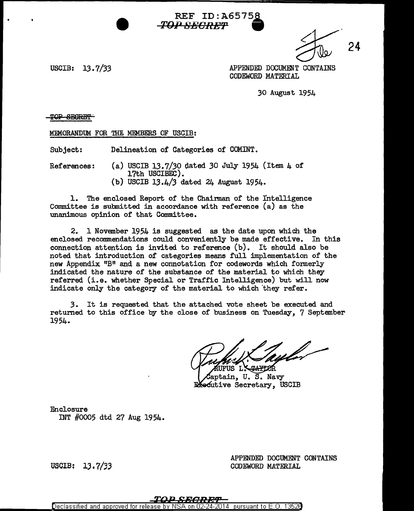USCIB:  $13.7 / 33$ 

 $\frac{24}{10}$  24 APPENDED DOCUMFNT CONTAINS CODEWORD MATERIAL

30 August 1954

TOP SEGRET

MEMORANDUM FOR THE MEMBERS OF USCIB:

Subject: Delineation of Categories of COMINT.

References: (a) USCIB 13.7/30 dated 30 July 1954 (Item 4 of 17th USCIBEC). (b) USCIB 13.4/3 dated 24 August 1954.

1. The enclosed Report of the Chairman of the Intelligence Committee is submitted in accordance with reference (a) as the unanimous opinion of that Committee.

2. 1 November 1954 is suggested as the date upon which the enclosed recommendations could conveniently be made effective. In this connection attention is invited to reference (b). It should also be noted that introduction of categories means full implementation of the new Appendix "B" and a new connotation for codewords which formerly indicated the nature of the substance of' the material to which they referred (i.e. whether Special or Traffic Intelligence) but will now indicate only the category of the material to which they refer.

REF ID: A65758

**TOP F1EOREY'** •

3. It is requested that the attached vote sheet be executed and returned to this office by the close of business on Tuesday, 7 September 1954.

jfus l.X

aptain, U. S. Navy Executive Secretary, USCIB

Enclosure INT #0005 dtd 27 Aug 1954.

USCIB: 13.7/33

APPENDED DOCUMENT CONTAINS CODEWORD MATERIAL

Declassified and approved for release nursuant to E-O.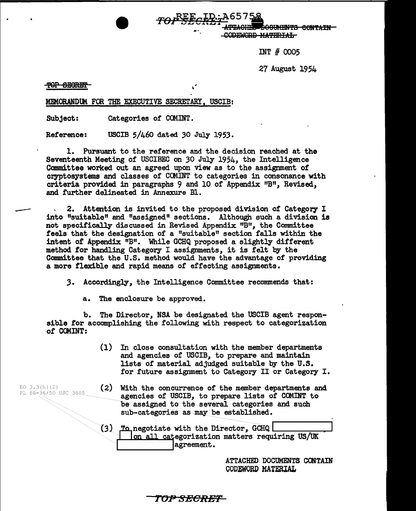**DOOUMENTS CONTAIN** CODEWORD MATERIAL

INT # 0005

27 August 1954

#### TOP SECRET

EO 3.3(h)(2)<br>PL 86-36/50 USC 3605

MEMORANDUM FOR THE EXECUTIVE SECRETARY, USCIB:

Subject: Categories of COMINT.

Reference: USCIB 5/460 dated *30* July 1953.

1. Pursuant to the reference and the decision reached at the Seventeenth Meeting of USCIBEC on *30* July 1954, the Intelligence Committee worked out an agreed upon view as to the assignment of cryptosystems and classes of CCMINT to categories in consonance with criteria provided in paragraphs 9 and 10 of Appendix "B", Revised, and further delineated in Annexure Bl.

2. Attention is invited to the proposed division of Category I into "suitable" and "assigned" sections. Although such a division is not specifically discussed in Revised Appendix "B", the Committee feels that the designation of a "suitable" section falls within the intent of Appendix "B". While GCHQ proposed a slightly different method for handling Category I assignments, it is felt by the Committee that the U.S. method would have the advantage of providing a more flexible and rapid means of effecting assignments.

,3. Accordingly, the Intelligence Committee recommends that:

a. The enclosure be approved.

b. The Director, NSA be designated the USCIB agent responsible for accomplishing the following with respect to categorization of COMINT:

- (1) In close consultation with the member departments and agencies of USCIB, to prepare and maintain lists of material adjudged suitable by the U.S. for future assignment to Category II or Category I.
- $(2)$  With the concurrence of the member departments and agencies of USCIB, to prepare lists of COMINT to be assigned to the several categories and such sub-categories as may be established.

(3) negotiate with the Directo~, Gci!Q I .... \_\_\_\_\_ .... o ca egorization matters requiring US/UK dom all categorization<br>degreement.

ATTACHED DOCUMENTS CONTAIN CODEWORD MATERIAL

TOP SECREF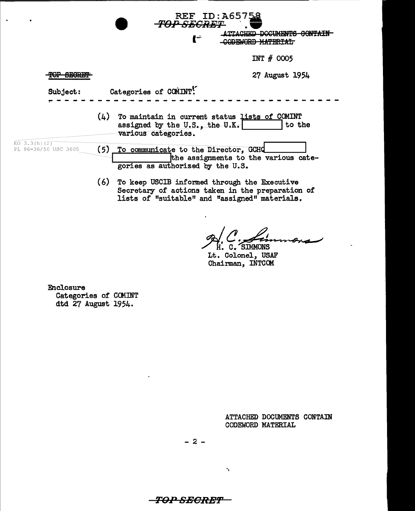|                                      |                       | REF ID:A65758<br><b>TOP SECRET</b><br>TTACHED DOCUMENTS CONTAIN<br>i –                                                 |  |
|--------------------------------------|-----------------------|------------------------------------------------------------------------------------------------------------------------|--|
|                                      |                       | INT $#$ 0005                                                                                                           |  |
| MAD GRADIMI<br><b>Lynchar</b>        |                       | 27 August 1954                                                                                                         |  |
| Subject:                             | Categories of COMINT! |                                                                                                                        |  |
|                                      |                       | $(L)$ To maintain in current status lists of COMINT<br>to the<br>assigned by the U.S., the U.K.<br>various categories. |  |
| EO 3.3(h)(2)<br>PL 86-36/50 USC 3605 | (5)                   | To communicate to the Director, GCHQ<br>the assignments to the various cate-<br>gories as authorized by the U.S.       |  |
|                                      | $\sim$                | The lease HONTD informed theorigh the Freeschieve                                                                      |  |

(6) To keep USCIB informed through the Executive Secretary of actions taken in the preparation of lists of "suitable" and "assigned" materials.

H. C. SIMMONS

Lt. Colonel, USAF Chairman, INTCOM

**Enclosure** Categories of COMINT dtd 27 August 1954.

 $\ddot{\phantom{a}}$ 

ATTACHED DOCUMENTS CONTAIN CODEWORD MATERIAL

 $-2-$ 

<del>-TOP SECRET-</del>

 $\mathbf{v}_\mathrm{c}$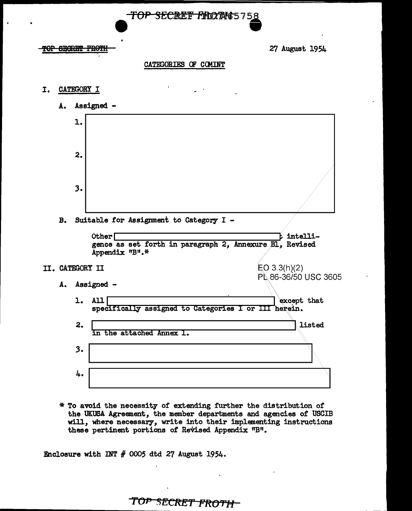

#### <del>OP SEGRET FROTI</del>

27 August 1954

### CATEGORIES OF COMINT

- I. **CATEGORY I** 
	- A. Assigned -



\* To avoid the necessity of extending further the distribution of the UKUSA Agreement, the member departments and agencies of USCIB will, where necessary, write into their implementing instructions these pertinent portions of Revised Appendix "B".

Enclosure with INT  $#$  0005 dtd 27 August 1954.

TOP SECRET FROTH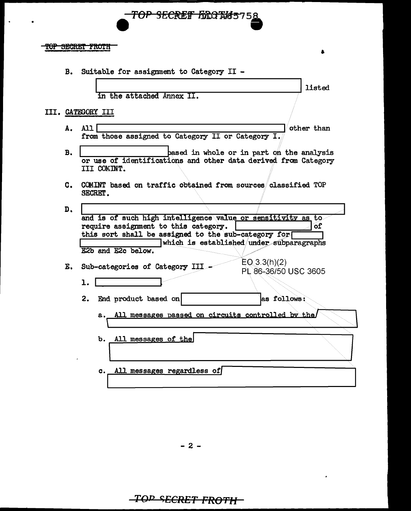

#### TOP SECRET FROTH

**B.** Suitable for assignment to Category II -

in the attached Annex II.

## III. CATEGORY III

- $AII$ other than A. from those assigned to Category II or Category I.
- **B.** based in whole or in part on the analysis or use of identifications and other data derived from Category III COMINT.

listed

C. COMINT based on traffic obtained from sources classified TOP SECRET.

| D.                                                          |                                                      |                                          |  |
|-------------------------------------------------------------|------------------------------------------------------|------------------------------------------|--|
| and is of such high intelligence value or sensitivity as to |                                                      |                                          |  |
|                                                             | require assignment to this category.                 | ٥f                                       |  |
|                                                             | this sort shall be assigned to the sub-category for  |                                          |  |
|                                                             |                                                      | which is established under subparagraphs |  |
|                                                             | E2b and E2c below.                                   |                                          |  |
|                                                             |                                                      | $EQ$ 3.3(h)(2)                           |  |
| Е.                                                          | Sub-categories of Category III                       | PL 86-36/50 USC 3605                     |  |
|                                                             |                                                      |                                          |  |
|                                                             |                                                      |                                          |  |
|                                                             | End product based on<br>2.                           | as follows:                              |  |
|                                                             |                                                      |                                          |  |
|                                                             | a. All messages passed on circuits controlled by the |                                          |  |
|                                                             |                                                      |                                          |  |
|                                                             |                                                      |                                          |  |
|                                                             | All messages of the<br>b.                            |                                          |  |
|                                                             |                                                      |                                          |  |
|                                                             |                                                      |                                          |  |
|                                                             | All messages regardless of<br>c.                     |                                          |  |
|                                                             |                                                      |                                          |  |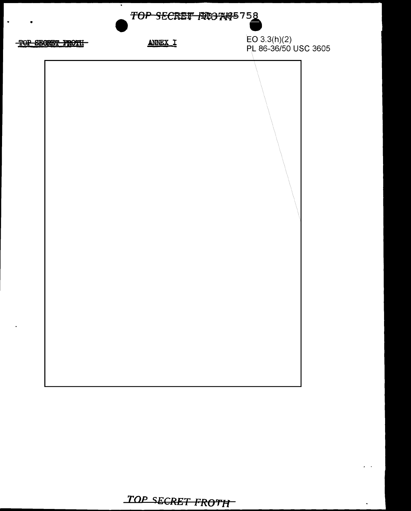

# TOP SECRET FROTH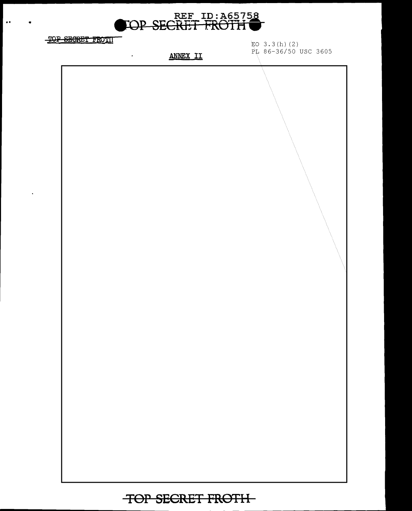

TOP SECRET FROTH

 $\bullet\bullet$ 

 $\ddot{\phantom{0}}$ 

EO  $3.3(h)$  (2) PL 86-36/50 USC 3605

**ANNEX II** 

 $\hat{\mathcal{L}}$ 

TOP SECRET FROTH